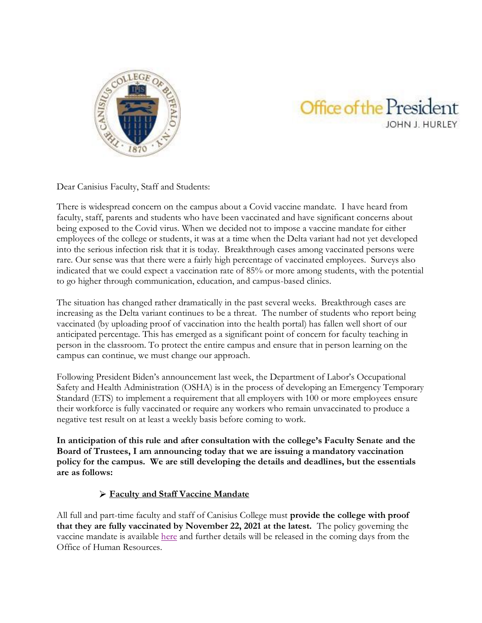

## Office of the President JOHN J. HURLEY

Dear Canisius Faculty, Staff and Students:

There is widespread concern on the campus about a Covid vaccine mandate. I have heard from faculty, staff, parents and students who have been vaccinated and have significant concerns about being exposed to the Covid virus. When we decided not to impose a vaccine mandate for either employees of the college or students, it was at a time when the Delta variant had not yet developed into the serious infection risk that it is today. Breakthrough cases among vaccinated persons were rare. Our sense was that there were a fairly high percentage of vaccinated employees. Surveys also indicated that we could expect a vaccination rate of 85% or more among students, with the potential to go higher through communication, education, and campus-based clinics.

The situation has changed rather dramatically in the past several weeks. Breakthrough cases are increasing as the Delta variant continues to be a threat. The number of students who report being vaccinated (by uploading proof of vaccination into the health portal) has fallen well short of our anticipated percentage. This has emerged as a significant point of concern for faculty teaching in person in the classroom. To protect the entire campus and ensure that in person learning on the campus can continue, we must change our approach.

Following President Biden's announcement last week, the Department of Labor's Occupational Safety and Health Administration (OSHA) is in the process of developing an Emergency Temporary Standard (ETS) to implement a requirement that all employers with 100 or more employees ensure their workforce is fully vaccinated or require any workers who remain unvaccinated to produce a negative test result on at least a weekly basis before coming to work.

**In anticipation of this rule and after consultation with the college's Faculty Senate and the Board of Trustees, I am announcing today that we are issuing a mandatory vaccination policy for the campus. We are still developing the details and deadlines, but the essentials are as follows:**

## **Faculty and Staff Vaccine Mandate**

All full and part-time faculty and staff of Canisius College must **provide the college with proof that they are fully vaccinated by November 22, 2021 at the latest.** The policy governing the vaccine mandate is available [here](https://wiki.canisius.edu/pages/viewpage.action?spaceKey=HR&title=Volume+III%3A+3.3+Workplace+Policies#VolumeIII:3.3WorkplacePolicies-3.3.27COVID-19VaccinationPolicy) and further details will be released in the coming days from the Office of Human Resources.